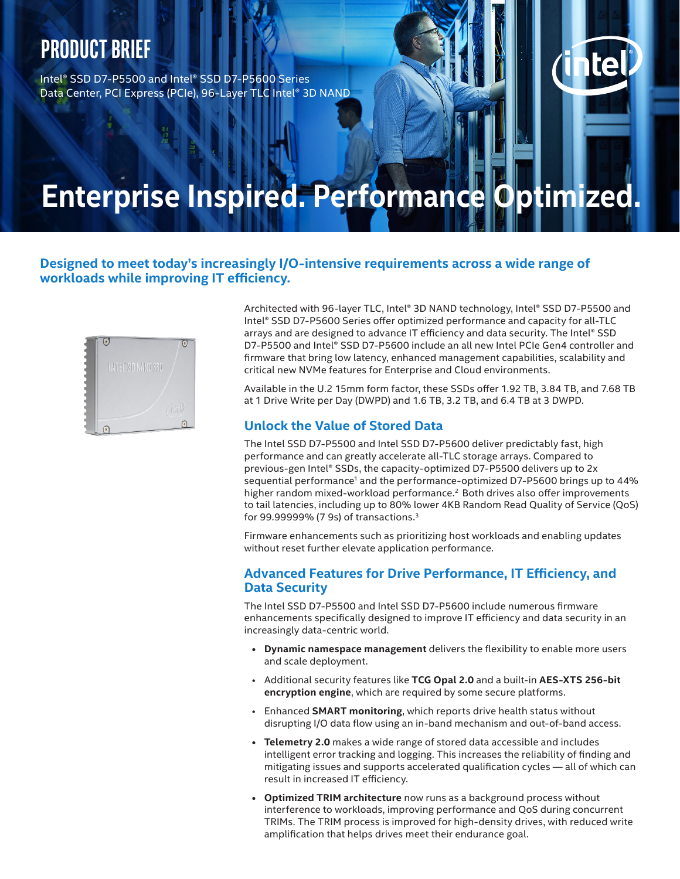## **Product brief**

Intel® SSD D7-P5500 and Intel® SSD D7-P5600 Series Data Center, PCI Express (PCIe), 96-Layer TLC Intel® 3D NAND

# **Enterprise Inspired. Performance Optimized.**

### **Designed to meet today's increasingly I/O-intensive requirements across a wide range of workloads while improving IT efficiency.**



Architected with 96-layer TLC, Intel® 3D NAND technology, Intel® SSD D7-P5500 and Intel® SSD D7-P5600 Series offer optimized performance and capacity for all-TLC arrays and are designed to advance IT efficiency and data security. The Intel® SSD D7-P5500 and Intel® SSD D7-P5600 include an all new Intel PCIe Gen4 controller and firmware that bring low latency, enhanced management capabilities, scalability and critical new NVMe features for Enterprise and Cloud environments.

Available in the U.2 15mm form factor, these SSDs offer 1.92 TB, 3.84 TB, and 7.68 TB at 1 Drive Write per Day (DWPD) and 1.6 TB, 3.2 TB, and 6.4 TB at 3 DWPD.

### **Unlock the Value of Stored Data**

The Intel SSD D7-P5500 and Intel SSD D7-P5600 deliver predictably fast, high performance and can greatly accelerate all-TLC storage arrays. Compared to previous-gen Intel® SSDs, the capacity-optimized D7-P5500 delivers up to 2x sequential performance<sup>1</sup> and the performance-optimized D7-P5600 brings up to 44% higher random mixed-workload performance.<sup>2</sup> Both drives also offer improvements to tail latencies, including up to 80% lower 4KB Random Read Quality of Service (QoS) for 99.99999% (7 9s) of transactions.<sup>3</sup>

Firmware enhancements such as prioritizing host workloads and enabling updates without reset further elevate application performance.

#### **Advanced Features for Drive Performance, IT Efficiency, and Data Security**

The Intel SSD D7-P5500 and Intel SSD D7-P5600 include numerous firmware enhancements specifically designed to improve IT efficiency and data security in an increasingly data-centric world.

- **• Dynamic namespace management** delivers the flexibility to enable more users and scale deployment.
- Additional security features like **TCG Opal 2.0** and a built-in **AES-XTS 256-bit encryption engine**, which are required by some secure platforms.
- Enhanced **SMART monitoring**, which reports drive health status without disrupting I/O data flow using an in-band mechanism and out-of-band access.
- **• Telemetry 2.0** makes a wide range of stored data accessible and includes intelligent error tracking and logging. This increases the reliability of finding and mitigating issues and supports accelerated qualification cycles — all of which can result in increased IT efficiency.
- **• Optimized TRIM architecture** now runs as a background process without interference to workloads, improving performance and QoS during concurrent TRIMs. The TRIM process is improved for high-density drives, with reduced write amplification that helps drives meet their endurance goal.